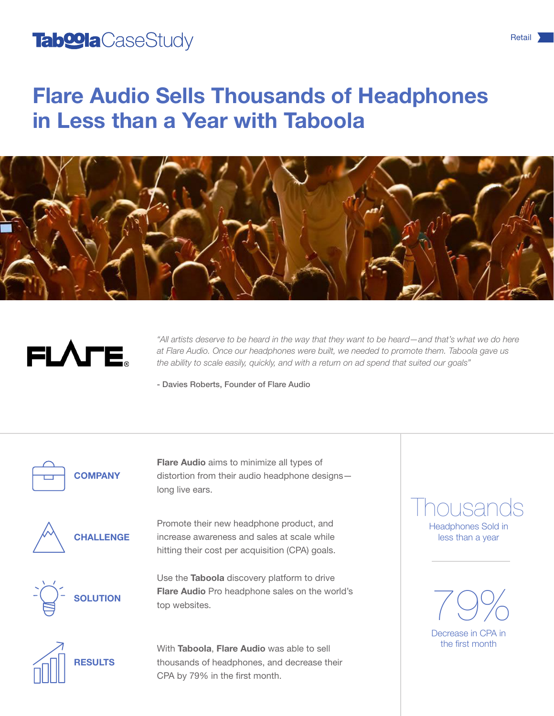## Tab<sup>oo</sup>la CaseStudy and the contract of the set of the set of the set of the set of the set of the set of the set of the set of the set of the set of the set of the set of the set of the set of the set of the set of the se

# Flare Audio Sells Thousands of Headphones in Less than a Year with Taboola





*"All artists deserve to be heard in the way that they want to be heard—and that's what we do here at Flare Audio. Once our headphones were built, we needed to promote them. Taboola gave us the ability to scale easily, quickly, and with a return on ad spend that suited our goals"*

- Davies Roberts, Founder of Flare Audio



**COMPANY** 

Flare Audio aims to minimize all types of distortion from their audio headphone designs long live ears.



Promote their new headphone product, and increase awareness and sales at scale while hitting their cost per acquisition (CPA) goals.

**SOLUTION** 

Use the Taboola discovery platform to drive Flare Audio Pro headphone sales on the world's top websites.



With Taboola, Flare Audio was able to sell thousands of headphones, and decrease their CPA by 79% in the first month.

### Headphones Sold in nousands

less than a year



the first month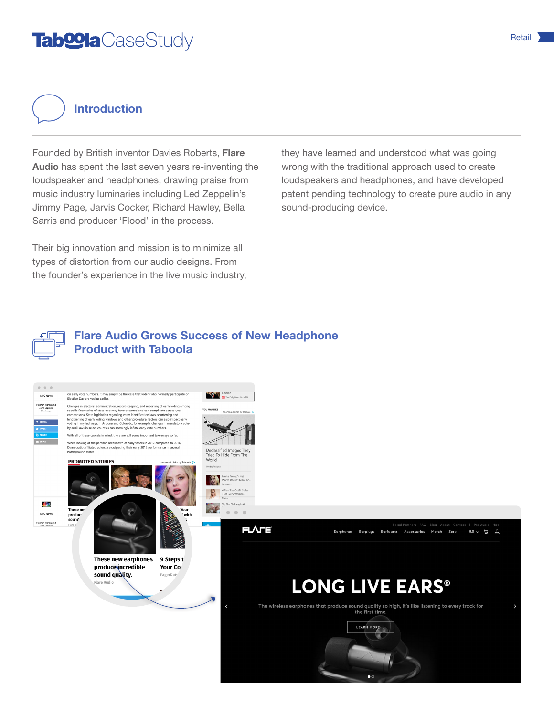## Tab@laCaseStudy Retail Retail Retail Retail Retail Retail Retail Retail Retail Retail Retail Retail Retail Retail Retail Retail Retail Retail Retail Retail Retail Retail Retail Retail Retail Retail Retail Retail Retail Ret

Introduction

Founded by British inventor Davies Roberts, Flare Audio has spent the last seven years re-inventing the loudspeaker and headphones, drawing praise from music industry luminaries including Led Zeppelin's Jimmy Page, Jarvis Cocker, Richard Hawley, Bella Sarris and producer 'Flood' in the process.

Their big innovation and mission is to minimize all types of distortion from our audio designs. From the founder's experience in the live music industry, they have learned and understood what was going wrong with the traditional approach used to create loudspeakers and headphones, and have developed patent pending technology to create pure audio in any sound-producing device.



#### Flare Audio Grows Success of New Headphone Product with Taboola